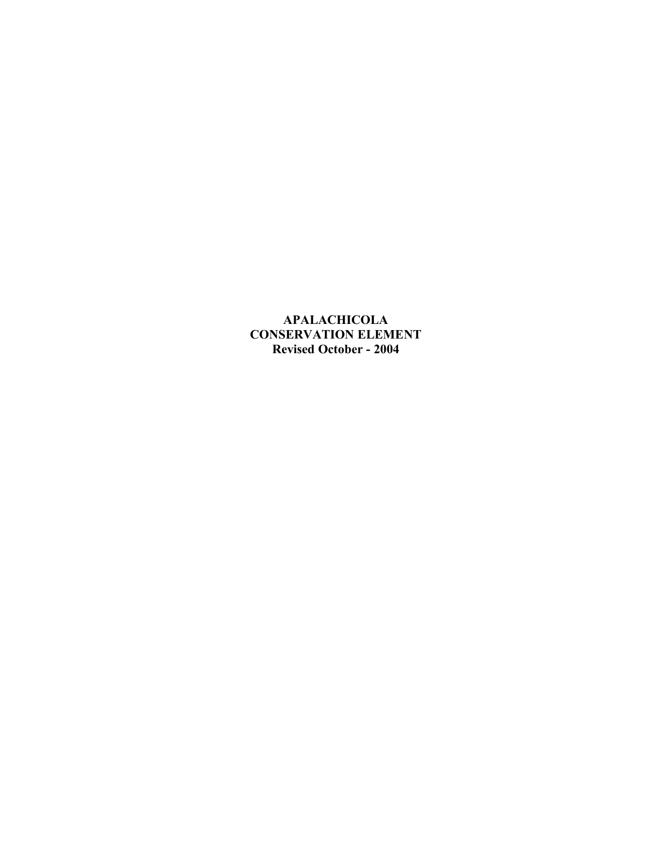**APALACHICOLA CONSERVATION ELEMENT Revised October - 2004**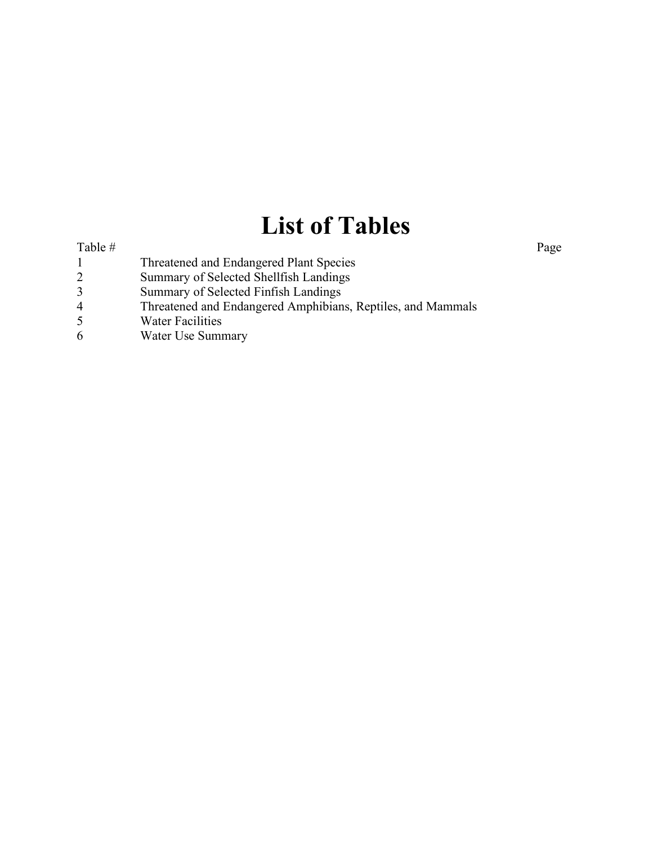# **List of Tables**

#### Table # Page

- 1 Threatened and Endangered Plant Species
- 2 Summary of Selected Shellfish Landings
- 3 Summary of Selected Finfish Landings<br>4 Threatened and Endangered Amphibian
- 4 Threatened and Endangered Amphibians, Reptiles, and Mammals<br>5 Water Facilities
- 5 Water Facilities<br>6 Water Use Summ
- Water Use Summary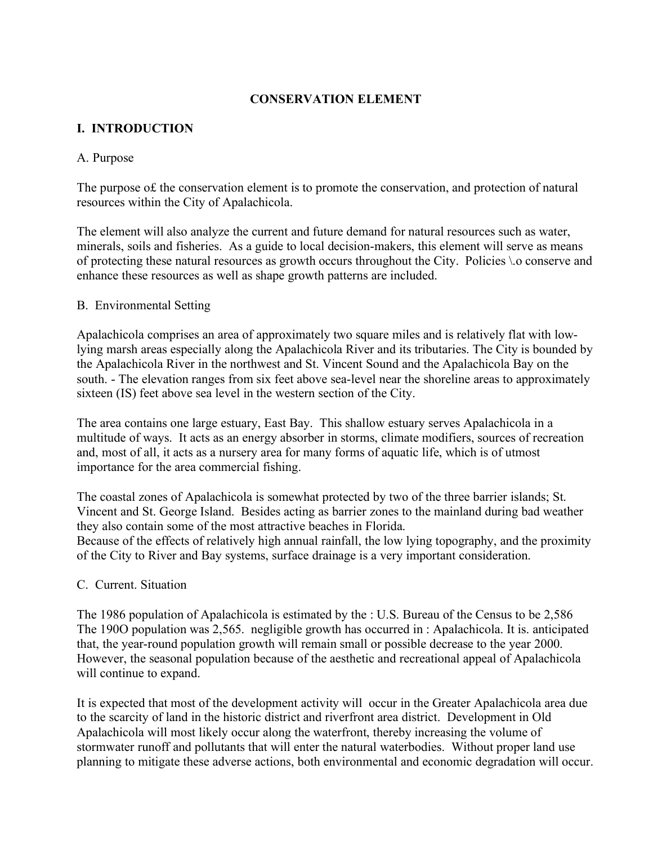## **CONSERVATION ELEMENT**

# **I. INTRODUCTION**

#### A. Purpose

The purpose o£ the conservation element is to promote the conservation, and protection of natural resources within the City of Apalachicola.

The element will also analyze the current and future demand for natural resources such as water, minerals, soils and fisheries. As a guide to local decision-makers, this element will serve as means of protecting these natural resources as growth occurs throughout the City. Policies \.o conserve and enhance these resources as well as shape growth patterns are included.

## B. Environmental Setting

Apalachicola comprises an area of approximately two square miles and is relatively flat with lowlying marsh areas especially along the Apalachicola River and its tributaries. The City is bounded by the Apalachicola River in the northwest and St. Vincent Sound and the Apalachicola Bay on the south. - The elevation ranges from six feet above sea-level near the shoreline areas to approximately sixteen (IS) feet above sea level in the western section of the City.

The area contains one large estuary, East Bay. This shallow estuary serves Apalachicola in a multitude of ways. It acts as an energy absorber in storms, climate modifiers, sources of recreation and, most of all, it acts as a nursery area for many forms of aquatic life, which is of utmost importance for the area commercial fishing.

The coastal zones of Apalachicola is somewhat protected by two of the three barrier islands; St. Vincent and St. George Island. Besides acting as barrier zones to the mainland during bad weather they also contain some of the most attractive beaches in Florida.

Because of the effects of relatively high annual rainfall, the low lying topography, and the proximity of the City to River and Bay systems, surface drainage is a very important consideration.

#### C. Current. Situation

The 1986 population of Apalachicola is estimated by the : U.S. Bureau of the Census to be 2,586 The 190O population was 2,565. negligible growth has occurred in : Apalachicola. It is. anticipated that, the year-round population growth will remain small or possible decrease to the year 2000. However, the seasonal population because of the aesthetic and recreational appeal of Apalachicola will continue to expand.

It is expected that most of the development activity will occur in the Greater Apalachicola area due to the scarcity of land in the historic district and riverfront area district. Development in Old Apalachicola will most likely occur along the waterfront, thereby increasing the volume of stormwater runoff and pollutants that will enter the natural waterbodies. Without proper land use planning to mitigate these adverse actions, both environmental and economic degradation will occur.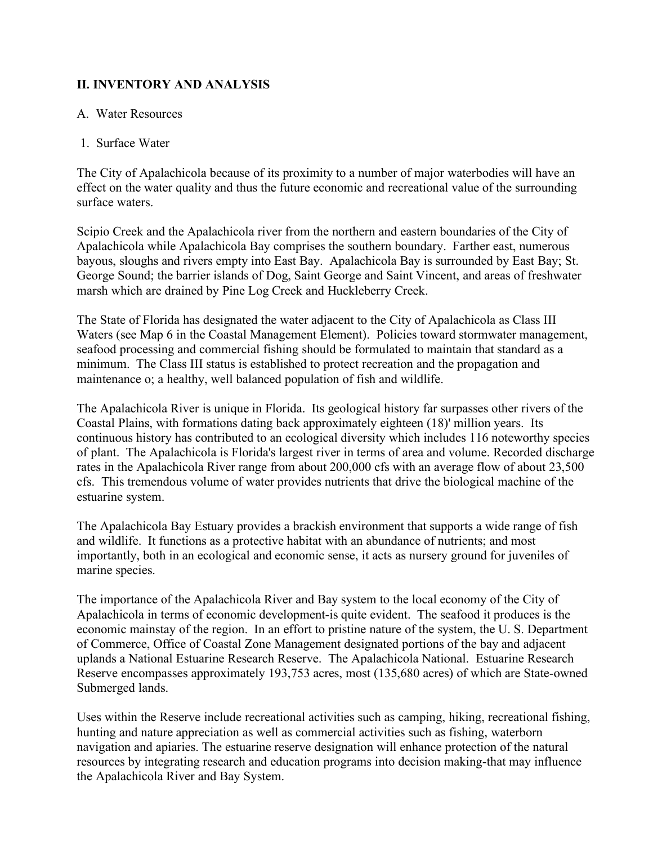# **II. INVENTORY AND ANALYSIS**

## A. Water Resources

## 1. Surface Water

The City of Apalachicola because of its proximity to a number of major waterbodies will have an effect on the water quality and thus the future economic and recreational value of the surrounding surface waters.

Scipio Creek and the Apalachicola river from the northern and eastern boundaries of the City of Apalachicola while Apalachicola Bay comprises the southern boundary. Farther east, numerous bayous, sloughs and rivers empty into East Bay. Apalachicola Bay is surrounded by East Bay; St. George Sound; the barrier islands of Dog, Saint George and Saint Vincent, and areas of freshwater marsh which are drained by Pine Log Creek and Huckleberry Creek.

The State of Florida has designated the water adjacent to the City of Apalachicola as Class III Waters (see Map 6 in the Coastal Management Element). Policies toward stormwater management, seafood processing and commercial fishing should be formulated to maintain that standard as a minimum. The Class III status is established to protect recreation and the propagation and maintenance o; a healthy, well balanced population of fish and wildlife.

The Apalachicola River is unique in Florida. Its geological history far surpasses other rivers of the Coastal Plains, with formations dating back approximately eighteen (18)' million years. Its continuous history has contributed to an ecological diversity which includes 116 noteworthy species of plant. The Apalachicola is Florida's largest river in terms of area and volume. Recorded discharge rates in the Apalachicola River range from about 200,000 cfs with an average flow of about 23,500 cfs. This tremendous volume of water provides nutrients that drive the biological machine of the estuarine system.

The Apalachicola Bay Estuary provides a brackish environment that supports a wide range of fish and wildlife. It functions as a protective habitat with an abundance of nutrients; and most importantly, both in an ecological and economic sense, it acts as nursery ground for juveniles of marine species.

The importance of the Apalachicola River and Bay system to the local economy of the City of Apalachicola in terms of economic development-is quite evident. The seafood it produces is the economic mainstay of the region. In an effort to pristine nature of the system, the U. S. Department of Commerce, Office of Coastal Zone Management designated portions of the bay and adjacent uplands a National Estuarine Research Reserve. The Apalachicola National. Estuarine Research Reserve encompasses approximately 193,753 acres, most (135,680 acres) of which are State-owned Submerged lands.

Uses within the Reserve include recreational activities such as camping, hiking, recreational fishing, hunting and nature appreciation as well as commercial activities such as fishing, waterborn navigation and apiaries. The estuarine reserve designation will enhance protection of the natural resources by integrating research and education programs into decision making-that may influence the Apalachicola River and Bay System.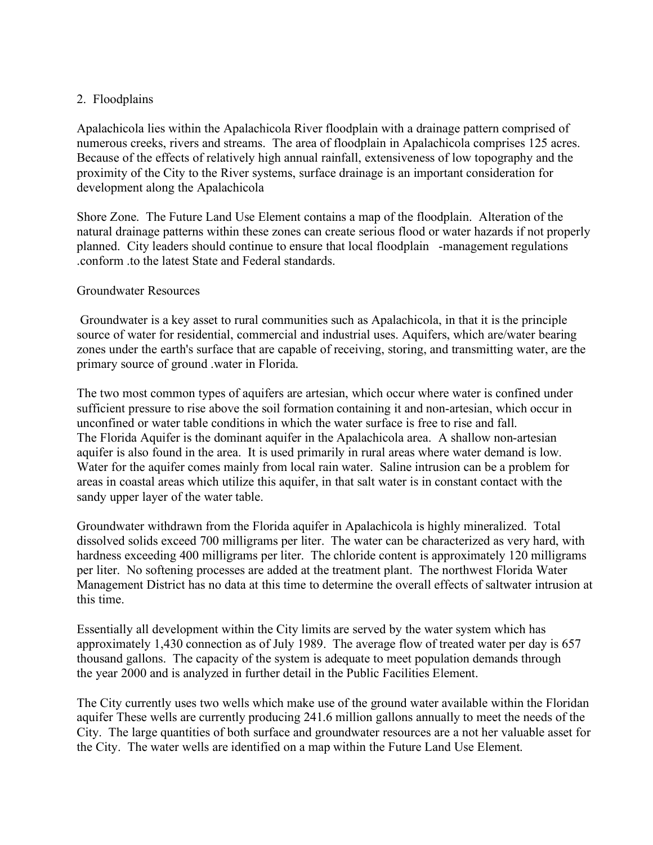## 2. Floodplains

Apalachicola lies within the Apalachicola River floodplain with a drainage pattern comprised of numerous creeks, rivers and streams. The area of floodplain in Apalachicola comprises 125 acres. Because of the effects of relatively high annual rainfall, extensiveness of low topography and the proximity of the City to the River systems, surface drainage is an important consideration for development along the Apalachicola

Shore Zone. The Future Land Use Element contains a map of the floodplain. Alteration of the natural drainage patterns within these zones can create serious flood or water hazards if not properly planned. City leaders should continue to ensure that local floodplain -management regulations .conform .to the latest State and Federal standards.

#### Groundwater Resources

Groundwater is a key asset to rural communities such as Apalachicola, in that it is the principle source of water for residential, commercial and industrial uses. Aquifers, which are/water bearing zones under the earth's surface that are capable of receiving, storing, and transmitting water, are the primary source of ground .water in Florida.

The two most common types of aquifers are artesian, which occur where water is confined under sufficient pressure to rise above the soil formation containing it and non-artesian, which occur in unconfined or water table conditions in which the water surface is free to rise and fall. The Florida Aquifer is the dominant aquifer in the Apalachicola area. A shallow non-artesian aquifer is also found in the area. It is used primarily in rural areas where water demand is low. Water for the aquifer comes mainly from local rain water. Saline intrusion can be a problem for areas in coastal areas which utilize this aquifer, in that salt water is in constant contact with the sandy upper layer of the water table.

Groundwater withdrawn from the Florida aquifer in Apalachicola is highly mineralized. Total dissolved solids exceed 700 milligrams per liter. The water can be characterized as very hard, with hardness exceeding 400 milligrams per liter. The chloride content is approximately 120 milligrams per liter. No softening processes are added at the treatment plant. The northwest Florida Water Management District has no data at this time to determine the overall effects of saltwater intrusion at this time.

Essentially all development within the City limits are served by the water system which has approximately 1,430 connection as of July 1989. The average flow of treated water per day is 657 thousand gallons. The capacity of the system is adequate to meet population demands through the year 2000 and is analyzed in further detail in the Public Facilities Element.

The City currently uses two wells which make use of the ground water available within the Floridan aquifer These wells are currently producing 241.6 million gallons annually to meet the needs of the City. The large quantities of both surface and groundwater resources are a not her valuable asset for the City. The water wells are identified on a map within the Future Land Use Element.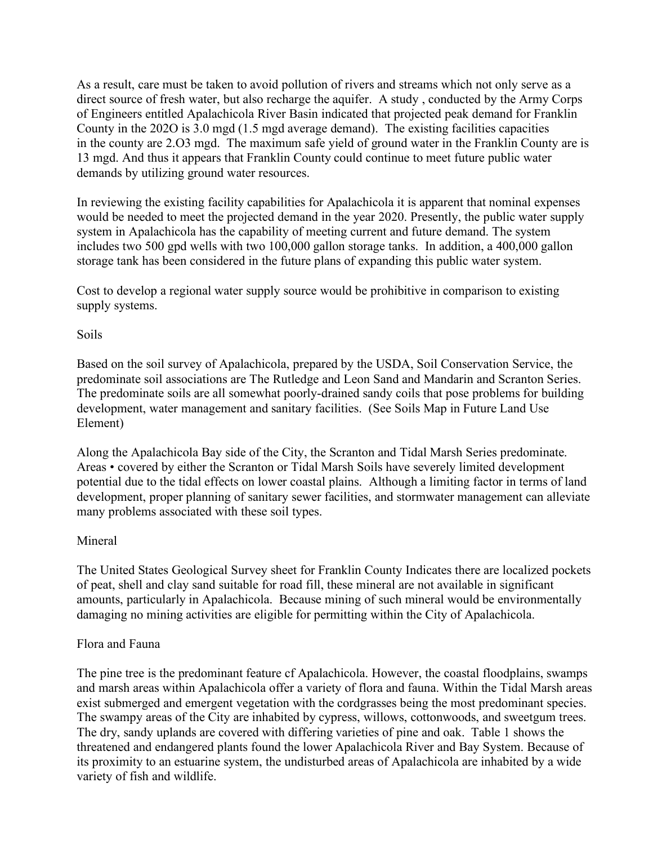As a result, care must be taken to avoid pollution of rivers and streams which not only serve as a direct source of fresh water, but also recharge the aquifer. A study , conducted by the Army Corps of Engineers entitled Apalachicola River Basin indicated that projected peak demand for Franklin County in the 202O is 3.0 mgd (1.5 mgd average demand). The existing facilities capacities in the county are 2.O3 mgd. The maximum safe yield of ground water in the Franklin County are is 13 mgd. And thus it appears that Franklin County could continue to meet future public water demands by utilizing ground water resources.

In reviewing the existing facility capabilities for Apalachicola it is apparent that nominal expenses would be needed to meet the projected demand in the year 2020. Presently, the public water supply system in Apalachicola has the capability of meeting current and future demand. The system includes two 500 gpd wells with two 100,000 gallon storage tanks. In addition, a 400,000 gallon storage tank has been considered in the future plans of expanding this public water system.

Cost to develop a regional water supply source would be prohibitive in comparison to existing supply systems.

#### Soils

Based on the soil survey of Apalachicola, prepared by the USDA, Soil Conservation Service, the predominate soil associations are The Rutledge and Leon Sand and Mandarin and Scranton Series. The predominate soils are all somewhat poorly-drained sandy coils that pose problems for building development, water management and sanitary facilities. (See Soils Map in Future Land Use Element)

Along the Apalachicola Bay side of the City, the Scranton and Tidal Marsh Series predominate. Areas • covered by either the Scranton or Tidal Marsh Soils have severely limited development potential due to the tidal effects on lower coastal plains. Although a limiting factor in terms of land development, proper planning of sanitary sewer facilities, and stormwater management can alleviate many problems associated with these soil types.

#### Mineral

The United States Geological Survey sheet for Franklin County Indicates there are localized pockets of peat, shell and clay sand suitable for road fill, these mineral are not available in significant amounts, particularly in Apalachicola. Because mining of such mineral would be environmentally damaging no mining activities are eligible for permitting within the City of Apalachicola.

#### Flora and Fauna

The pine tree is the predominant feature cf Apalachicola. However, the coastal floodplains, swamps and marsh areas within Apalachicola offer a variety of flora and fauna. Within the Tidal Marsh areas exist submerged and emergent vegetation with the cordgrasses being the most predominant species. The swampy areas of the City are inhabited by cypress, willows, cottonwoods, and sweetgum trees. The dry, sandy uplands are covered with differing varieties of pine and oak. Table 1 shows the threatened and endangered plants found the lower Apalachicola River and Bay System. Because of its proximity to an estuarine system, the undisturbed areas of Apalachicola are inhabited by a wide variety of fish and wildlife.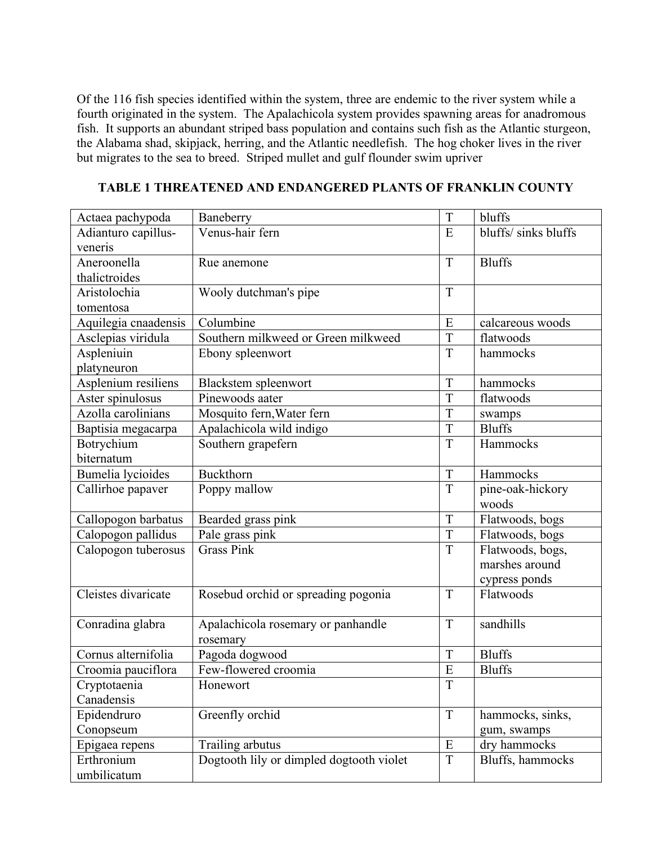Of the 116 fish species identified within the system, three are endemic to the river system while a fourth originated in the system. The Apalachicola system provides spawning areas for anadromous fish. It supports an abundant striped bass population and contains such fish as the Atlantic sturgeon, the Alabama shad, skipjack, herring, and the Atlantic needlefish. The hog choker lives in the river but migrates to the sea to breed. Striped mullet and gulf flounder swim upriver

| Actaea pachypoda     | Baneberry                                | T           | bluffs               |
|----------------------|------------------------------------------|-------------|----------------------|
| Adianturo capillus-  | Venus-hair fern                          | E           | bluffs/ sinks bluffs |
| veneris              |                                          |             |                      |
| Aneroonella          | Rue anemone                              | T           | <b>Bluffs</b>        |
| thalictroides        |                                          |             |                      |
| Aristolochia         | Wooly dutchman's pipe                    | T           |                      |
| tomentosa            |                                          |             |                      |
| Aquilegia cnaadensis | Columbine                                | E           | calcareous woods     |
| Asclepias viridula   | Southern milkweed or Green milkweed      | T           | flatwoods            |
| Aspleniuin           | Ebony spleenwort                         | T           | hammocks             |
| platyneuron          |                                          |             |                      |
| Asplenium resiliens  | Blackstem spleenwort                     | T           | hammocks             |
| Aster spinulosus     | Pinewoods aater                          | T           | flatwoods            |
| Azolla carolinians   | Mosquito fern, Water fern                | T           | swamps               |
| Baptisia megacarpa   | Apalachicola wild indigo                 | T           | <b>Bluffs</b>        |
| Botrychium           | Southern grapefern                       | T           | Hammocks             |
| biternatum           |                                          |             |                      |
| Bumelia lycioides    | Buckthorn                                | T           | Hammocks             |
| Callirhoe papaver    | Poppy mallow                             | T           | pine-oak-hickory     |
|                      |                                          |             | woods                |
| Callopogon barbatus  | Bearded grass pink                       | T           | Flatwoods, bogs      |
| Calopogon pallidus   | Pale grass pink                          | T           | Flatwoods, bogs      |
| Calopogon tuberosus  | <b>Grass Pink</b>                        | T           | Flatwoods, bogs,     |
|                      |                                          |             | marshes around       |
|                      |                                          |             | cypress ponds        |
| Cleistes divaricate  | Rosebud orchid or spreading pogonia      | T           | Flatwoods            |
|                      |                                          |             |                      |
| Conradina glabra     | Apalachicola rosemary or panhandle       | T           | sandhills            |
|                      | rosemary                                 |             |                      |
| Cornus alternifolia  | Pagoda dogwood                           | T           | <b>Bluffs</b>        |
| Croomia pauciflora   | Few-flowered croomia                     | E           | <b>Bluffs</b>        |
| Cryptotaenia         | Honewort                                 | $\mathbf T$ |                      |
| Canadensis           |                                          |             |                      |
| Epidendruro          | Greenfly orchid                          | $\bar{T}$   | hammocks, sinks,     |
| Conopseum            |                                          |             | gum, swamps          |
| Epigaea repens       | Trailing arbutus                         | ${\bf E}$   | dry hammocks         |
| Erthronium           | Dogtooth lily or dimpled dogtooth violet | T           | Bluffs, hammocks     |
| umbilicatum          |                                          |             |                      |

**TABLE 1 THREATENED AND ENDANGERED PLANTS OF FRANKLIN COUNTY**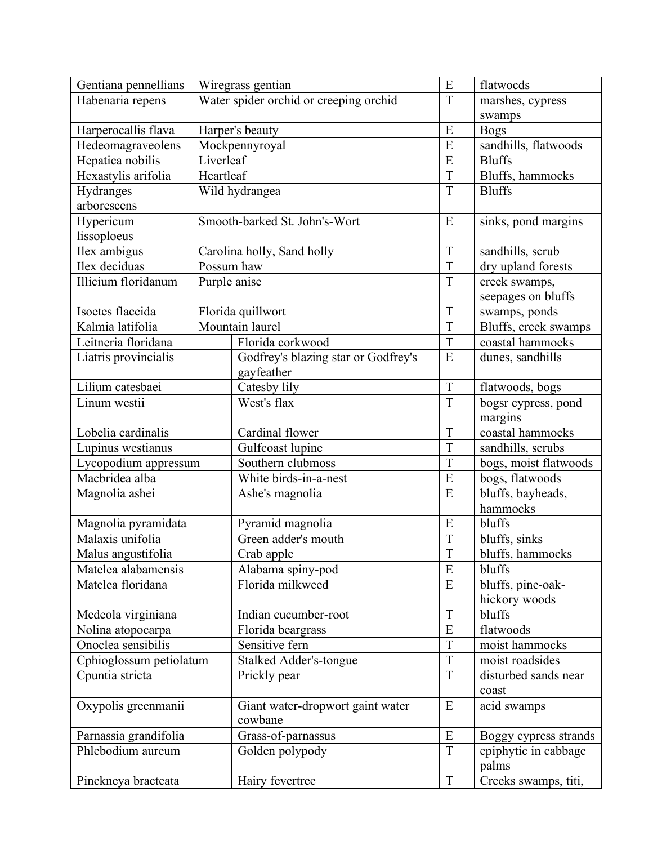| Gentiana pennellians    |              | Wiregrass gentian                      | E              | flatwocds             |
|-------------------------|--------------|----------------------------------------|----------------|-----------------------|
| Habenaria repens        |              | Water spider orchid or creeping orchid | T              | marshes, cypress      |
|                         |              |                                        |                | swamps                |
| Harperocallis flava     |              | Harper's beauty                        | E              | <b>Bogs</b>           |
| Hedeomagraveolens       |              | Mockpennyroyal                         | E              | sandhills, flatwoods  |
| Hepatica nobilis        | Liverleaf    |                                        | E              | <b>Bluffs</b>         |
| Hexastylis arifolia     | Heartleaf    |                                        | T              | Bluffs, hammocks      |
| Hydranges               |              | Wild hydrangea                         | T              | <b>Bluffs</b>         |
| arborescens             |              |                                        |                |                       |
| Hypericum               |              | Smooth-barked St. John's-Wort          | E              | sinks, pond margins   |
| lissoploeus             |              |                                        |                |                       |
| Ilex ambigus            |              | Carolina holly, Sand holly             | T              | sandhills, scrub      |
| Ilex deciduas           |              | Possum haw                             | T              | dry upland forests    |
| Illicium floridanum     | Purple anise |                                        | T              | creek swamps,         |
|                         |              |                                        |                | seepages on bluffs    |
| Isoetes flaccida        |              | Florida quillwort                      | T              | swamps, ponds         |
| Kalmia latifolia        |              | Mountain laurel                        | T              | Bluffs, creek swamps  |
| Leitneria floridana     |              | Florida corkwood                       | T              | coastal hammocks      |
| Liatris provincialis    |              | Godfrey's blazing star or Godfrey's    | E              | dunes, sandhills      |
|                         |              | gayfeather                             |                |                       |
| Lilium catesbaei        |              | Catesby lily                           | $\mathbf T$    | flatwoods, bogs       |
| Linum westii            |              | West's flax                            | T              | bogsr cypress, pond   |
|                         |              |                                        |                | margins               |
| Lobelia cardinalis      |              | Cardinal flower                        | T              | coastal hammocks      |
| Lupinus westianus       |              | Gulfcoast lupine                       |                | sandhills, scrubs     |
| Lycopodium appressum    |              | Southern clubmoss                      |                | bogs, moist flatwoods |
| Macbridea alba          |              | White birds-in-a-nest                  |                | bogs, flatwoods       |
| Magnolia ashei          |              | Ashe's magnolia                        |                | bluffs, bayheads,     |
|                         |              |                                        |                | hammocks              |
| Magnolia pyramidata     |              | Pyramid magnolia                       | E              | bluffs                |
| Malaxis unifolia        |              | Green adder's mouth                    | $\overline{T}$ | bluffs, sinks         |
| Malus angustifolia      |              | Crab apple                             | $\mathbf T$    | bluffs, hammocks      |
| Matelea alabamensis     |              | Alabama spiny-pod                      |                | bluffs                |
| Matelea floridana       |              | Florida milkweed                       | E              | bluffs, pine-oak-     |
|                         |              |                                        |                | hickory woods         |
| Medeola virginiana      |              | Indian cucumber-root                   | $\mathbf T$    | bluffs                |
| Nolina atopocarpa       |              | Florida beargrass                      | E              | flatwoods             |
| Onoclea sensibilis      |              | Sensitive fern                         | T              | moist hammocks        |
| Cphioglossum petiolatum |              | <b>Stalked Adder's-tongue</b>          | $\overline{T}$ | moist roadsides       |
| Cpuntia stricta         |              | Prickly pear                           | $\mathbf T$    | disturbed sands near  |
|                         |              |                                        |                | coast                 |
| Oxypolis greenmanii     |              | Giant water-dropwort gaint water       | E              | acid swamps           |
|                         |              | cowbane                                |                |                       |
| Parnassia grandifolia   |              | Grass-of-parnassus                     | E              | Boggy cypress strands |
| Phlebodium aureum       |              | Golden polypody                        | $\mathbf T$    | epiphytic in cabbage  |
|                         |              |                                        |                | palms                 |
| Pinckneya bracteata     |              | Hairy fevertree                        | $\mathbf T$    | Creeks swamps, titi,  |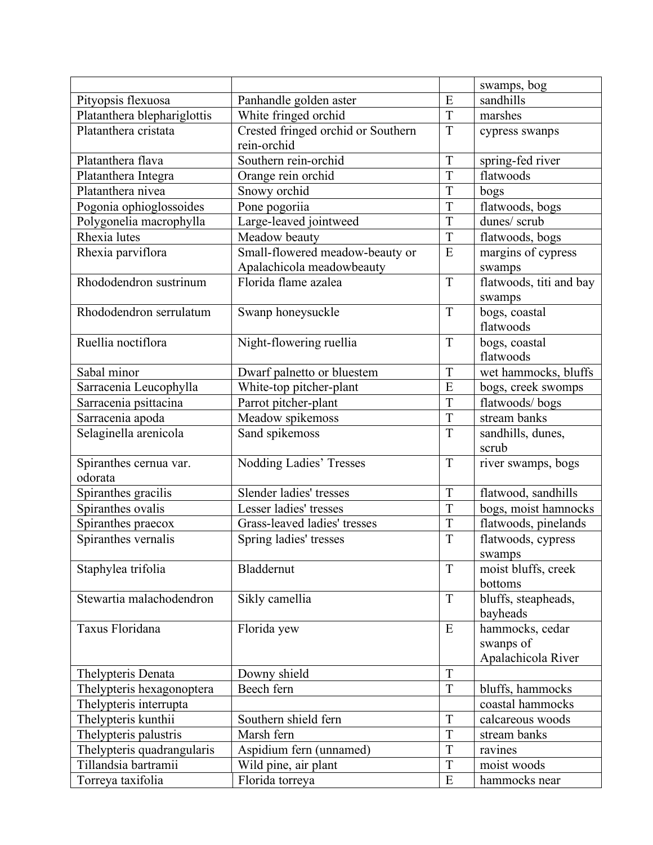|                             |                                                   |                | swamps, bog                       |
|-----------------------------|---------------------------------------------------|----------------|-----------------------------------|
| Pityopsis flexuosa          | Panhandle golden aster                            | E              | sandhills                         |
| Platanthera blephariglottis | White fringed orchid                              | T              | marshes                           |
| Platanthera cristata        | Crested fringed orchid or Southern<br>rein-orchid |                | cypress swanps                    |
| Platanthera flava           | Southern rein-orchid                              | T              | spring-fed river                  |
| Platanthera Integra         | Orange rein orchid                                | T              | flatwoods                         |
| Platanthera nivea           | Snowy orchid                                      | T              | bogs                              |
| Pogonia ophioglossoides     | Pone pogoriia                                     | $\overline{T}$ | flatwoods, bogs                   |
| Polygonelia macrophylla     | Large-leaved jointweed                            | T              | dunes/ scrub                      |
| Rhexia lutes                | Meadow beauty                                     | $\overline{T}$ | flatwoods, bogs                   |
| Rhexia parviflora           | Small-flowered meadow-beauty or                   | E              | margins of cypress                |
|                             | Apalachicola meadowbeauty                         |                | swamps                            |
| Rhododendron sustrinum      | Florida flame azalea                              | T              | flatwoods, titi and bay<br>swamps |
| Rhododendron serrulatum     | Swanp honeysuckle                                 | T              | bogs, coastal                     |
|                             |                                                   |                | flatwoods                         |
| Ruellia noctiflora          | Night-flowering ruellia                           | T              | bogs, coastal                     |
|                             |                                                   |                | flatwoods                         |
| Sabal minor                 | Dwarf palnetto or bluestem                        | T              | wet hammocks, bluffs              |
| Sarracenia Leucophylla      | White-top pitcher-plant                           | E              | bogs, creek swomps                |
| Sarracenia psittacina       | Parrot pitcher-plant                              | T              | flatwoods/bogs                    |
| Sarracenia apoda            | Meadow spikemoss                                  | $\overline{T}$ | stream banks                      |
| Selaginella arenicola       | Sand spikemoss                                    | T              | sandhills, dunes,                 |
|                             |                                                   |                | scrub                             |
| Spiranthes cernua var.      | Nodding Ladies' Tresses                           | T              | river swamps, bogs                |
| odorata                     |                                                   |                |                                   |
| Spiranthes gracilis         | Slender ladies' tresses                           | T              | flatwood, sandhills               |
| Spiranthes ovalis           | Lesser ladies' tresses                            | T              | bogs, moist hamnocks              |
| Spiranthes praecox          | Grass-leaved ladies' tresses                      | T              | flatwoods, pinelands              |
| Spiranthes vernalis         | Spring ladies' tresses                            | $\overline{T}$ | flatwoods, cypress                |
|                             |                                                   |                | swamps                            |
| Staphylea trifolia          | Bladdernut                                        | T              | moist bluffs, creek               |
|                             |                                                   |                | bottoms                           |
| Stewartia malachodendron    | Sikly camellia                                    | T              | bluffs, steapheads,               |
|                             |                                                   |                | bayheads                          |
| Taxus Floridana             | Florida yew                                       | ${\bf E}$      | hammocks, cedar                   |
|                             |                                                   |                | swanps of                         |
|                             |                                                   | T              | Apalachicola River                |
| Thelypteris Denata          | Downy shield                                      | T              |                                   |
| Thelypteris hexagonoptera   | Beech fern                                        |                | bluffs, hammocks                  |
| Thelypteris interrupta      |                                                   |                | coastal hammocks                  |
| Thelypteris kunthii         | Southern shield fern                              | T              | calcareous woods                  |
| Thelypteris palustris       | Marsh fern                                        | T<br>T         | stream banks                      |
| Thelypteris quadrangularis  | Aspidium fern (unnamed)                           |                | ravines                           |
| Tillandsia bartramii        | Wild pine, air plant                              | T              | moist woods                       |
| Torreya taxifolia           | Florida torreya                                   | E              | hammocks near                     |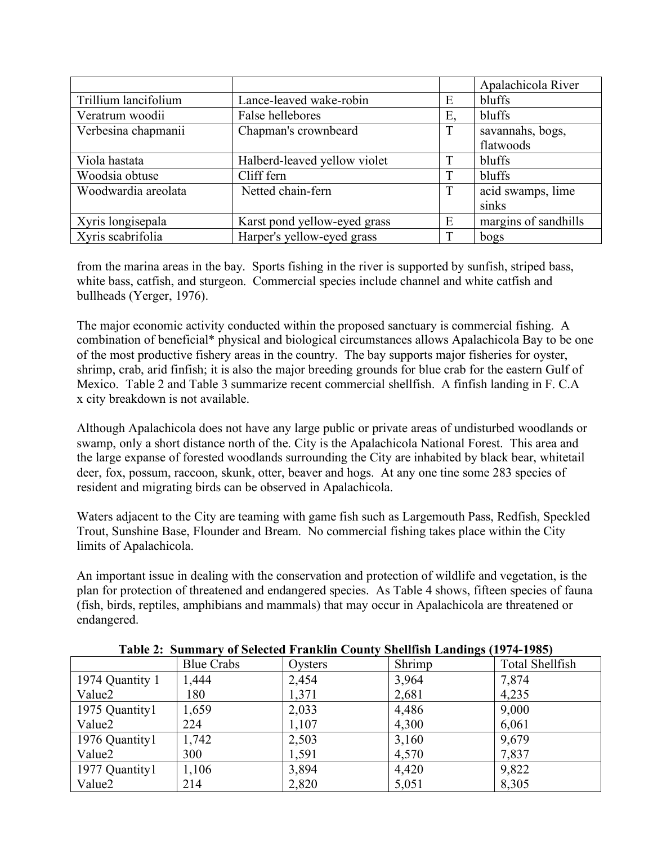|                      |                              |    | Apalachicola River   |
|----------------------|------------------------------|----|----------------------|
| Trillium lancifolium | Lance-leaved wake-robin      | Ε  | bluffs               |
| Veratrum woodii      | False hellebores             | Е. | bluffs               |
| Verbesina chapmanii  | Chapman's crownbeard         | T  | savannahs, bogs,     |
|                      |                              |    | flatwoods            |
| Viola hastata        | Halberd-leaved yellow violet |    | bluffs               |
| Woodsia obtuse       | Cliff fern                   |    | bluffs               |
| Woodwardia areolata  | Netted chain-fern            | T  | acid swamps, lime    |
|                      |                              |    | sinks                |
| Xyris longisepala    | Karst pond yellow-eyed grass | E  | margins of sandhills |
| Xyris scabrifolia    | Harper's yellow-eyed grass   | т  | bogs                 |

from the marina areas in the bay. Sports fishing in the river is supported by sunfish, striped bass, white bass, catfish, and sturgeon. Commercial species include channel and white catfish and bullheads (Yerger, 1976).

The major economic activity conducted within the proposed sanctuary is commercial fishing. A combination of beneficial\* physical and biological circumstances allows Apalachicola Bay to be one of the most productive fishery areas in the country. The bay supports major fisheries for oyster, shrimp, crab, arid finfish; it is also the major breeding grounds for blue crab for the eastern Gulf of Mexico. Table 2 and Table 3 summarize recent commercial shellfish. A finfish landing in F. C.A x city breakdown is not available.

Although Apalachicola does not have any large public or private areas of undisturbed woodlands or swamp, only a short distance north of the. City is the Apalachicola National Forest. This area and the large expanse of forested woodlands surrounding the City are inhabited by black bear, whitetail deer, fox, possum, raccoon, skunk, otter, beaver and hogs. At any one tine some 283 species of resident and migrating birds can be observed in Apalachicola.

Waters adjacent to the City are teaming with game fish such as Largemouth Pass, Redfish, Speckled Trout, Sunshine Base, Flounder and Bream. No commercial fishing takes place within the City limits of Apalachicola.

An important issue in dealing with the conservation and protection of wildlife and vegetation, is the plan for protection of threatened and endangered species. As Table 4 shows, fifteen species of fauna (fish, birds, reptiles, amphibians and mammals) that may occur in Apalachicola are threatened or endangered.

|                 | <b>Blue Crabs</b> | Oysters | $\sim$<br>Shrimp | Total Shellfish |
|-----------------|-------------------|---------|------------------|-----------------|
| 1974 Quantity 1 | ,444              | 2,454   | 3,964            | 7,874           |
| Value2          | 180               | 1,371   | 2,681            | 4,235           |
| 1975 Quantity1  | 1,659             | 2,033   | 4,486            | 9,000           |
| Value2          | 224               | 1,107   | 4,300            | 6,061           |
| 1976 Quantity1  | 1,742             | 2,503   | 3,160            | 9,679           |
| Value2          | 300               | 1,591   | 4,570            | 7,837           |
| 1977 Quantity1  | 1,106             | 3,894   | 4,420            | 9,822           |
| Value2          | 214               | 2,820   | 5,051            | 8,305           |

#### **Table 2: Summary of Selected Franklin County Shellfish Landings (1974-1985)**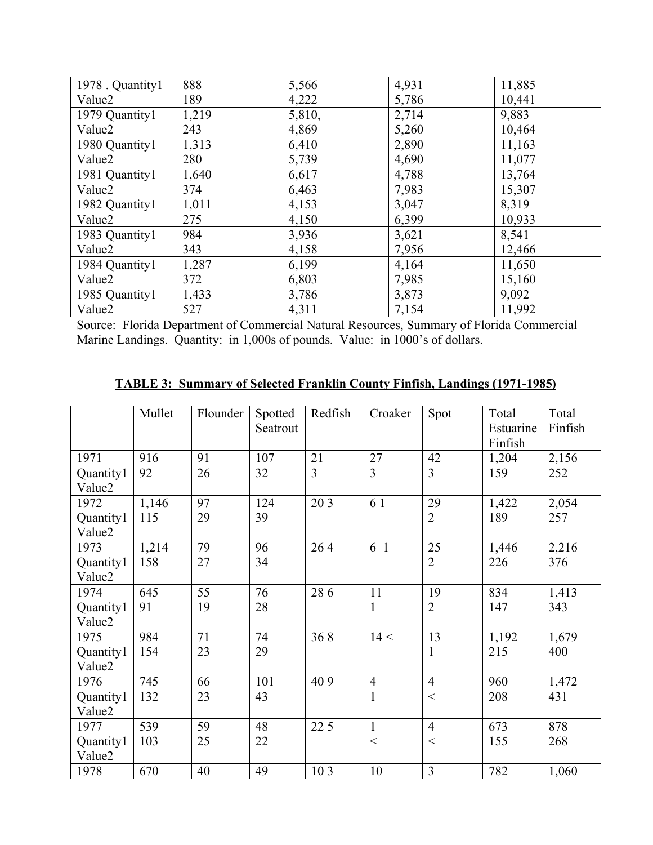| 1978 . Quantity1   | 888   | 5,566  | 4,931 | 11,885 |
|--------------------|-------|--------|-------|--------|
| Value <sub>2</sub> | 189   | 4,222  | 5,786 | 10,441 |
| 1979 Quantity1     | 1,219 | 5,810, | 2,714 | 9,883  |
| Value <sub>2</sub> | 243   | 4,869  | 5,260 | 10,464 |
| 1980 Quantity1     | 1,313 | 6,410  | 2,890 | 11,163 |
| Value <sub>2</sub> | 280   | 5,739  | 4,690 | 11,077 |
| 1981 Quantity1     | 1,640 | 6,617  | 4,788 | 13,764 |
| Value <sub>2</sub> | 374   | 6,463  | 7,983 | 15,307 |
| 1982 Quantity1     | 1,011 | 4,153  | 3,047 | 8,319  |
| Value <sub>2</sub> | 275   | 4,150  | 6,399 | 10,933 |
| 1983 Quantity1     | 984   | 3,936  | 3,621 | 8,541  |
| Value <sub>2</sub> | 343   | 4,158  | 7,956 | 12,466 |
| 1984 Quantity1     | 1,287 | 6,199  | 4,164 | 11,650 |
| Value2             | 372   | 6,803  | 7,985 | 15,160 |
| 1985 Quantity1     | 1,433 | 3,786  | 3,873 | 9,092  |
| Value2             | 527   | 4,311  | 7,154 | 11,992 |

Source: Florida Department of Commercial Natural Resources, Summary of Florida Commercial Marine Landings. Quantity: in 1,000s of pounds. Value: in 1000's of dollars.

|           | Mullet | Flounder | Spotted<br>Seatrout | Redfish         | Croaker        | Spot           | Total<br>Estuarine | Total<br>Finfish |
|-----------|--------|----------|---------------------|-----------------|----------------|----------------|--------------------|------------------|
|           |        |          |                     |                 |                |                | Finfish            |                  |
| 1971      | 916    | 91       | 107                 | 21              | 27             | 42             | 1,204              | 2,156            |
| Quantity1 | 92     | 26       | 32                  | 3               | 3              | 3              | 159                | 252              |
| Value2    |        |          |                     |                 |                |                |                    |                  |
| 1972      | 1,146  | 97       | 124                 | 20 3            | 6 1            | 29             | 1,422              | 2,054            |
| Quantity1 | 115    | 29       | 39                  |                 |                | $\overline{2}$ | 189                | 257              |
| Value2    |        |          |                     |                 |                |                |                    |                  |
| 1973      | 1,214  | 79       | 96                  | 264             | 6 1            | 25             | 1,446              | 2,216            |
| Quantity1 | 158    | 27       | 34                  |                 |                | $\overline{2}$ | 226                | 376              |
| Value2    |        |          |                     |                 |                |                |                    |                  |
| 1974      | 645    | 55       | 76                  | 286             | 11             | 19             | 834                | 1,413            |
| Quantity1 | 91     | 19       | 28                  |                 | $\mathbf{1}$   | $\overline{2}$ | 147                | 343              |
| Value2    |        |          |                     |                 |                |                |                    |                  |
| 1975      | 984    | 71       | 74                  | 368             | 14 <           | 13             | 1,192              | 1,679            |
| Quantity1 | 154    | 23       | 29                  |                 |                | $\mathbf{1}$   | 215                | 400              |
| Value2    |        |          |                     |                 |                |                |                    |                  |
| 1976      | 745    | 66       | 101                 | 40 9            | $\overline{4}$ | $\overline{4}$ | 960                | 1,472            |
| Quantity1 | 132    | 23       | 43                  |                 | $\mathbf{1}$   | $\lt$          | 208                | 431              |
| Value2    |        |          |                     |                 |                |                |                    |                  |
| 1977      | 539    | 59       | 48                  | 22 5            | $\mathbf{1}$   | $\overline{4}$ | 673                | 878              |
| Quantity1 | 103    | 25       | 22                  |                 | $\lt$          | $\lt$          | 155                | 268              |
| Value2    |        |          |                     |                 |                |                |                    |                  |
| 1978      | 670    | 40       | 49                  | 10 <sub>3</sub> | 10             | $\overline{3}$ | 782                | 1,060            |

**TABLE 3: Summary of Selected Franklin County Finfish, Landings (1971-1985)**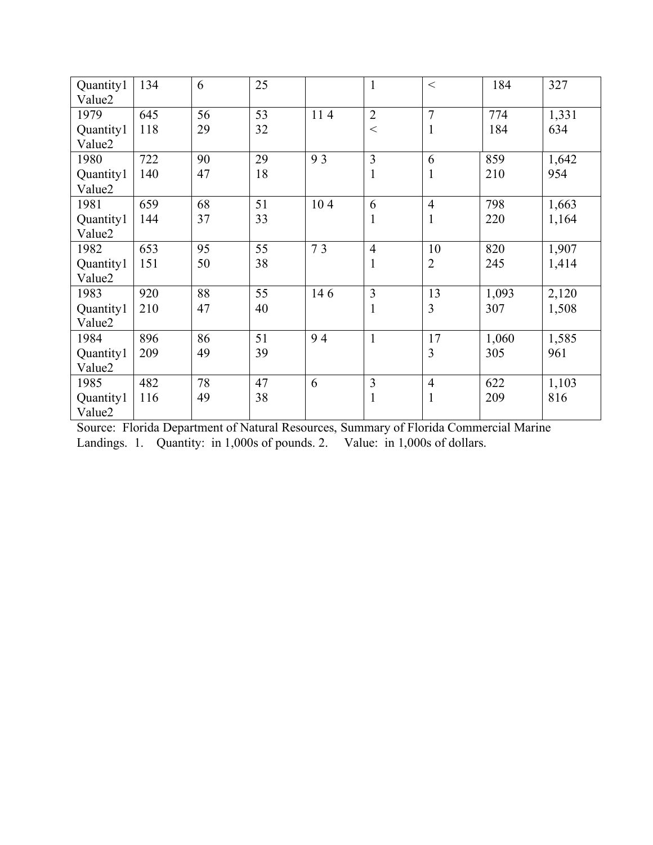| Quantity1<br>Value2 | 134 | 6  | 25 |     | $\mathbf{1}$   | $\lt$          | 184   | 327   |
|---------------------|-----|----|----|-----|----------------|----------------|-------|-------|
| 1979                | 645 | 56 | 53 | 114 | $\overline{2}$ | $\overline{7}$ | 774   | 1,331 |
| Quantity1           | 118 | 29 | 32 |     | $\lt$          | 1              | 184   | 634   |
| Value2              |     |    |    |     |                |                |       |       |
| 1980                | 722 | 90 | 29 | 93  | $\overline{3}$ | 6              | 859   | 1,642 |
| Quantity1           | 140 | 47 | 18 |     | $\mathbf{1}$   | 1              | 210   | 954   |
| Value2              |     |    |    |     |                |                |       |       |
| 1981                | 659 | 68 | 51 | 104 | 6              | $\overline{4}$ | 798   | 1,663 |
| Quantity1           | 144 | 37 | 33 |     | $\mathbf{1}$   | $\mathbf{1}$   | 220   | 1,164 |
| Value2              |     |    |    |     |                |                |       |       |
| 1982                | 653 | 95 | 55 | 73  | $\overline{4}$ | 10             | 820   | 1,907 |
| Quantity1           | 151 | 50 | 38 |     | $\mathbf{1}$   | $\overline{2}$ | 245   | 1,414 |
| Value2              |     |    |    |     |                |                |       |       |
| 1983                | 920 | 88 | 55 | 146 | 3              | 13             | 1,093 | 2,120 |
| Quantity1           | 210 | 47 | 40 |     | $\mathbf{1}$   | 3              | 307   | 1,508 |
| Value2              |     |    |    |     |                |                |       |       |
| 1984                | 896 | 86 | 51 | 94  | $\mathbf{1}$   | 17             | 1,060 | 1,585 |
| Quantity1           | 209 | 49 | 39 |     |                | 3              | 305   | 961   |
| Value2              |     |    |    |     |                |                |       |       |
| 1985                | 482 | 78 | 47 | 6   | $\overline{3}$ | $\overline{4}$ | 622   | 1,103 |
| Quantity1           | 116 | 49 | 38 |     | $\mathbf{1}$   | 1              | 209   | 816   |
| Value2              |     |    |    |     |                |                |       |       |

Source: Florida Department of Natural Resources, Summary of Florida Commercial Marine Landings. 1. Quantity: in 1,000s of pounds. 2. Value: in 1,000s of dollars.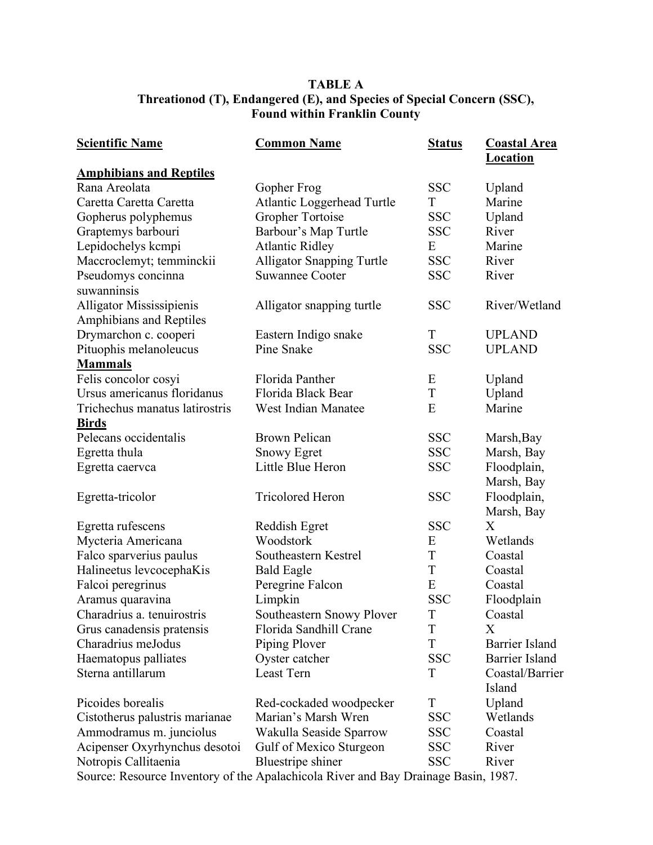# **TABLE A Threationod (T), Endangered (E), and Species of Special Concern (SSC), Found within Franklin County**

| <b>Scientific Name</b>                                                             | <b>Common Name</b>                | <b>Status</b> | <b>Coastal Area</b><br><b>Location</b> |
|------------------------------------------------------------------------------------|-----------------------------------|---------------|----------------------------------------|
| <b>Amphibians and Reptiles</b>                                                     |                                   |               |                                        |
| Rana Areolata                                                                      | Gopher Frog                       | <b>SSC</b>    | Upland                                 |
| Caretta Caretta Caretta                                                            | <b>Atlantic Loggerhead Turtle</b> | T             | Marine                                 |
| Gopherus polyphemus                                                                | Gropher Tortoise                  | <b>SSC</b>    | Upland                                 |
| Graptemys barbouri                                                                 | Barbour's Map Turtle              | <b>SSC</b>    | River                                  |
| Lepidochelys kcmpi                                                                 | <b>Atlantic Ridley</b>            | E             | Marine                                 |
| Maccroclemyt; temminckii                                                           | <b>Alligator Snapping Turtle</b>  | <b>SSC</b>    | River                                  |
| Pseudomys concinna<br>suwanninsis                                                  | <b>Suwannee Cooter</b>            | <b>SSC</b>    | River                                  |
| Alligator Mississipienis<br>Amphibians and Reptiles                                | Alligator snapping turtle         | <b>SSC</b>    | River/Wetland                          |
| Drymarchon c. cooperi                                                              | Eastern Indigo snake              | T             | <b>UPLAND</b>                          |
| Pituophis melanoleucus                                                             | Pine Snake                        | <b>SSC</b>    | <b>UPLAND</b>                          |
| <b>Mammals</b>                                                                     |                                   |               |                                        |
| Felis concolor cosyi                                                               | Florida Panther                   | E             | Upland                                 |
| Ursus americanus floridanus                                                        | Florida Black Bear                | T             | Upland                                 |
| Trichechus manatus latirostris                                                     | <b>West Indian Manatee</b>        | E             | Marine                                 |
| <b>Birds</b>                                                                       |                                   |               |                                        |
| Pelecans occidentalis                                                              | <b>Brown Pelican</b>              | <b>SSC</b>    | Marsh, Bay                             |
| Egretta thula                                                                      | <b>Snowy Egret</b>                | <b>SSC</b>    | Marsh, Bay                             |
| Egretta caervca                                                                    | Little Blue Heron                 | <b>SSC</b>    | Floodplain,                            |
|                                                                                    |                                   |               | Marsh, Bay                             |
| Egretta-tricolor                                                                   | <b>Tricolored Heron</b>           | <b>SSC</b>    | Floodplain,                            |
|                                                                                    |                                   |               | Marsh, Bay                             |
| Egretta rufescens                                                                  | Reddish Egret                     | <b>SSC</b>    | X                                      |
| Mycteria Americana                                                                 | Woodstork                         | E             | Wetlands                               |
| Falco sparverius paulus                                                            | Southeastern Kestrel              | T             | Coastal                                |
| Halineetus levcocephaKis                                                           | <b>Bald Eagle</b>                 | T             | Coastal                                |
| Falcoi peregrinus                                                                  | Peregrine Falcon                  | E             | Coastal                                |
| Aramus quaravina                                                                   | Limpkin                           | <b>SSC</b>    | Floodplain                             |
| Charadrius a. tenuirostris                                                         | Southeastern Snowy Plover         | $\mathbf T$   | Coastal                                |
| Grus canadensis pratensis                                                          | Florida Sandhill Crane            | T             | X                                      |
| Charadrius meJodus                                                                 | Piping Plover                     | T             | <b>Barrier Island</b>                  |
| Haematopus palliates                                                               | Oyster catcher                    | <b>SSC</b>    | <b>Barrier Island</b>                  |
| Sterna antillarum                                                                  | Least Tern                        | T             | Coastal/Barrier                        |
|                                                                                    |                                   |               | Island                                 |
| Picoides borealis                                                                  | Red-cockaded woodpecker           | T             | Upland                                 |
| Cistotherus palustris marianae                                                     | Marian's Marsh Wren               | <b>SSC</b>    | Wetlands                               |
| Ammodramus m. junciolus                                                            | Wakulla Seaside Sparrow           | <b>SSC</b>    | Coastal                                |
| Acipenser Oxyrhynchus desotoi                                                      | Gulf of Mexico Sturgeon           | <b>SSC</b>    | River                                  |
| Notropis Callitaenia                                                               | Bluestripe shiner                 | <b>SSC</b>    | River                                  |
| Source: Resource Inventory of the Apalachicola River and Bay Drainage Basin, 1987. |                                   |               |                                        |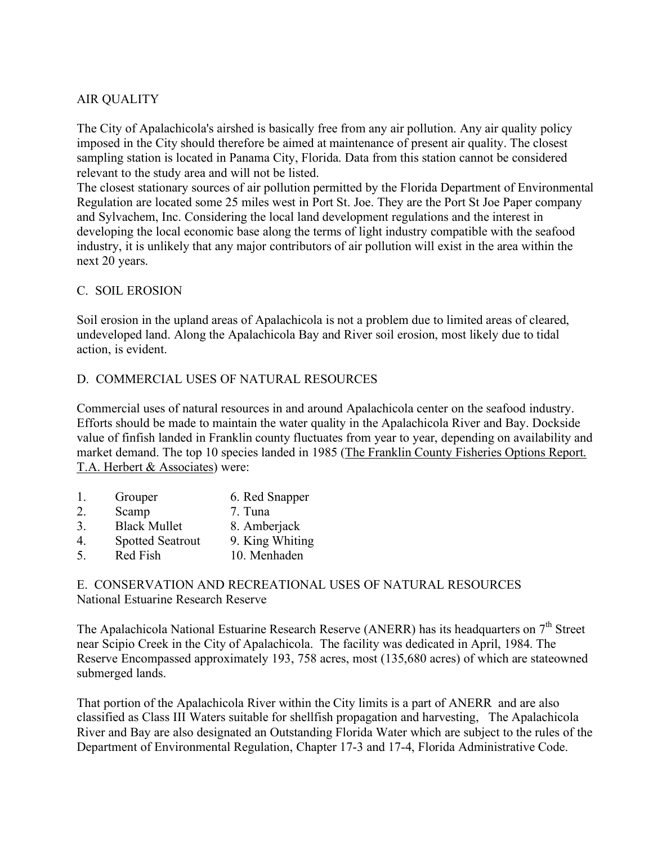# AIR QUALITY

The City of Apalachicola's airshed is basically free from any air pollution. Any air quality policy imposed in the City should therefore be aimed at maintenance of present air quality. The closest sampling station is located in Panama City, Florida. Data from this station cannot be considered relevant to the study area and will not be listed.

The closest stationary sources of air pollution permitted by the Florida Department of Environmental Regulation are located some 25 miles west in Port St. Joe. They are the Port St Joe Paper company and Sylvachem, Inc. Considering the local land development regulations and the interest in developing the local economic base along the terms of light industry compatible with the seafood industry, it is unlikely that any major contributors of air pollution will exist in the area within the next 20 years.

## C. SOIL EROSION

Soil erosion in the upland areas of Apalachicola is not a problem due to limited areas of cleared, undeveloped land. Along the Apalachicola Bay and River soil erosion, most likely due to tidal action, is evident.

## D. COMMERCIAL USES OF NATURAL RESOURCES

Commercial uses of natural resources in and around Apalachicola center on the seafood industry. Efforts should be made to maintain the water quality in the Apalachicola River and Bay. Dockside value of finfish landed in Franklin county fluctuates from year to year, depending on availability and market demand. The top 10 species landed in 1985 (The Franklin County Fisheries Options Report. T.A. Herbert & Associates) were:

| $\mathbf{1}$ | Grouper                 | 6. Red Snapper  |
|--------------|-------------------------|-----------------|
| 2.           | Scamp                   | 7. Tuna         |
| 3.           | <b>Black Mullet</b>     | 8. Amberjack    |
| 4            | <b>Spotted Seatrout</b> | 9. King Whiting |
| 5            | Red Fish                | 10. Menhaden    |
|              |                         |                 |

E. CONSERVATION AND RECREATIONAL USES OF NATURAL RESOURCES National Estuarine Research Reserve

The Apalachicola National Estuarine Research Reserve (ANERR) has its headquarters on 7<sup>th</sup> Street near Scipio Creek in the City of Apalachicola. The facility was dedicated in April, 1984. The Reserve Encompassed approximately 193, 758 acres, most (135,680 acres) of which are stateowned submerged lands.

That portion of the Apalachicola River within the City limits is a part of ANERR and are also classified as Class III Waters suitable for shellfish propagation and harvesting, The Apalachicola River and Bay are also designated an Outstanding Florida Water which are subject to the rules of the Department of Environmental Regulation, Chapter 17-3 and 17-4, Florida Administrative Code.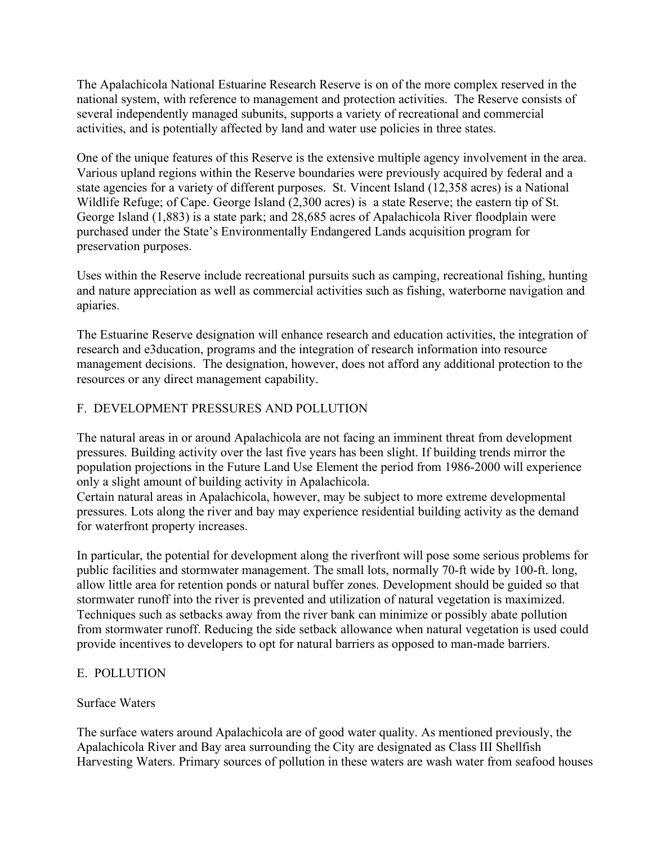The Apalachicola National Estuarine Research Reserve is on of the more complex reserved in the national system, with reference to management and protection activities. The Reserve consists of several independently managed subunits, supports a variety of recreational and commercial activities, and is potentially affected by land and water use policies in three states.

One of the unique features of this Reserve is the extensive multiple agency involvement in the area. Various upland regions within the Reserve boundaries were previously acquired by federal and a state agencies for a variety of different purposes. St. Vincent Island (12,358 acres) is a National Wildlife Refuge; of Cape. George Island (2,300 acres) is a state Reserve; the eastern tip of St. George Island (1,883) is a state park; and 28,685 acres of Apalachicola River floodplain were purchased under the State's Environmentally Endangered Lands acquisition program for preservation purposes.

Uses within the Reserve include recreational pursuits such as camping, recreational fishing, hunting and nature appreciation as well as commercial activities such as fishing, waterborne navigation and apiaries.

The Estuarine Reserve designation will enhance research and education activities, the integration of research and e3ducation, programs and the integration of research information into resource management decisions. The designation, however, does not afford any additional protection to the resources or any direct management capability.

# F. DEVELOPMENT PRESSURES AND POLLUTION

The natural areas in or around Apalachicola are not facing an imminent threat from development pressures. Building activity over the last five years has been slight. If building trends mirror the population projections in the Future Land Use Element the period from 1986-2000 will experience only a slight amount of building activity in Apalachicola.

Certain natural areas in Apalachicola, however, may be subject to more extreme developmental pressures. Lots along the river and bay may experience residential building activity as the demand for waterfront property increases.

In particular, the potential for development along the riverfront will pose some serious problems for public facilities and stormwater management. The small lots, normally 70-ft wide by 100-ft. long, allow little area for retention ponds or natural buffer zones. Development should be guided so that stormwater runoff into the river is prevented and utilization of natural vegetation is maximized. Techniques such as setbacks away from the river bank can minimize or possibly abate pollution from stormwater runoff. Reducing the side setback allowance when natural vegetation is used could provide incentives to developers to opt for natural barriers as opposed to man-made barriers.

## E. POLLUTION

## Surface Waters

The surface waters around Apalachicola are of good water quality. As mentioned previously, the Apalachicola River and Bay area surrounding the City are designated as Class III Shellfish Harvesting Waters. Primary sources of pollution in these waters are wash water from seafood houses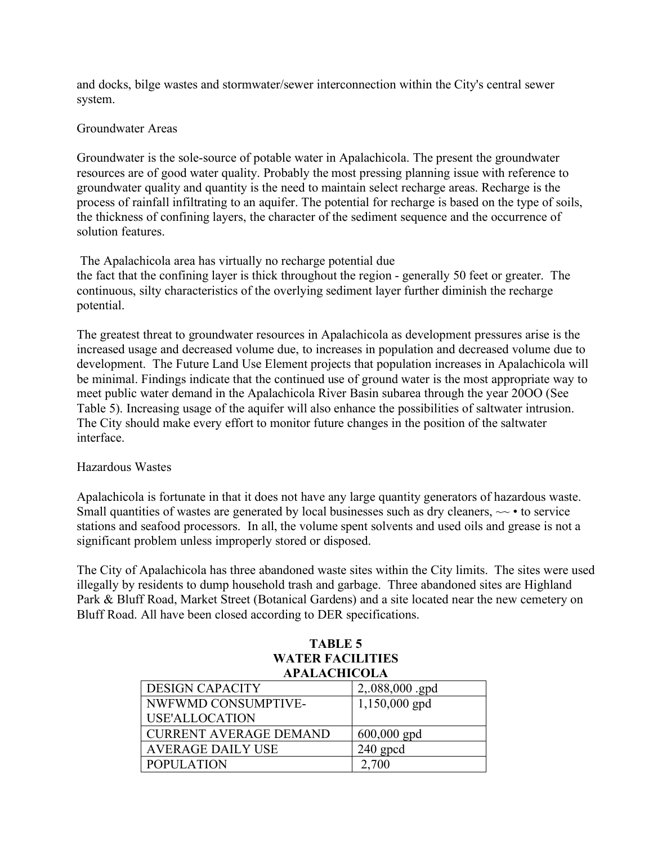and docks, bilge wastes and stormwater/sewer interconnection within the City's central sewer system.

#### Groundwater Areas

Groundwater is the sole-source of potable water in Apalachicola. The present the groundwater resources are of good water quality. Probably the most pressing planning issue with reference to groundwater quality and quantity is the need to maintain select recharge areas. Recharge is the process of rainfall infiltrating to an aquifer. The potential for recharge is based on the type of soils, the thickness of confining layers, the character of the sediment sequence and the occurrence of solution features.

The Apalachicola area has virtually no recharge potential due the fact that the confining layer is thick throughout the region - generally 50 feet or greater. The continuous, silty characteristics of the overlying sediment layer further diminish the recharge potential.

The greatest threat to groundwater resources in Apalachicola as development pressures arise is the increased usage and decreased volume due, to increases in population and decreased volume due to development. The Future Land Use Element projects that population increases in Apalachicola will be minimal. Findings indicate that the continued use of ground water is the most appropriate way to meet public water demand in the Apalachicola River Basin subarea through the year 20OO (See Table 5). Increasing usage of the aquifer will also enhance the possibilities of saltwater intrusion. The City should make every effort to monitor future changes in the position of the saltwater interface.

## Hazardous Wastes

Apalachicola is fortunate in that it does not have any large quantity generators of hazardous waste. Small quantities of wastes are generated by local businesses such as dry cleaners,  $\sim \cdot$  to service stations and seafood processors. In all, the volume spent solvents and used oils and grease is not a significant problem unless improperly stored or disposed.

The City of Apalachicola has three abandoned waste sites within the City limits. The sites were used illegally by residents to dump household trash and garbage. Three abandoned sites are Highland Park & Bluff Road, Market Street (Botanical Gardens) and a site located near the new cemetery on Bluff Road. All have been closed according to DER specifications.

| <b>TABLE 5</b>                                 |                 |  |  |  |  |
|------------------------------------------------|-----------------|--|--|--|--|
| <b>WATER FACILITIES</b><br><b>APALACHICOLA</b> |                 |  |  |  |  |
| <b>DESIGN CAPACITY</b>                         | 2,.088,000 .gpd |  |  |  |  |
| NWFWMD CONSUMPTIVE-                            | 1,150,000 gpd   |  |  |  |  |
| <b>USE'ALLOCATION</b>                          |                 |  |  |  |  |
| <b>CURRENT AVERAGE DEMAND</b>                  | $600,000$ gpd   |  |  |  |  |
| <b>AVERAGE DAILY USE</b>                       | $240$ gpcd      |  |  |  |  |
| <b>POPULATION</b>                              | 2,700           |  |  |  |  |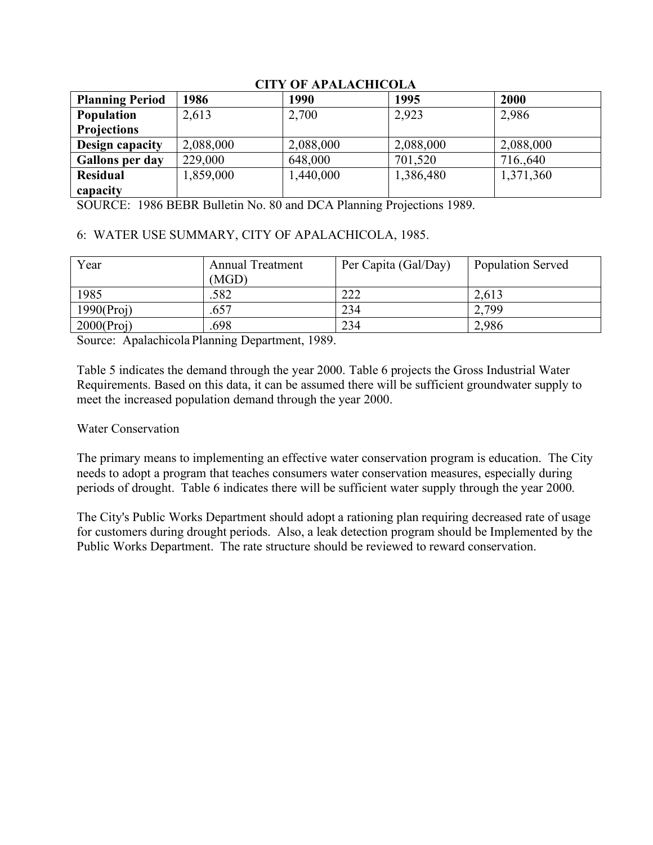| <b>Planning Period</b> | 1986      | 1990      | 1995      | 2000      |
|------------------------|-----------|-----------|-----------|-----------|
| <b>Population</b>      | 2,613     | 2,700     | 2,923     | 2,986     |
| <b>Projections</b>     |           |           |           |           |
| Design capacity        | 2,088,000 | 2,088,000 | 2,088,000 | 2,088,000 |
| <b>Gallons per day</b> | 229,000   | 648,000   | 701,520   | 716.,640  |
| <b>Residual</b>        | 1,859,000 | 1,440,000 | 1,386,480 | 1,371,360 |
| capacity               |           |           |           |           |

## **CITY OF APALACHICOLA**

SOURCE: 1986 BEBR Bulletin No. 80 and DCA Planning Projections 1989.

## 6: WATER USE SUMMARY, CITY OF APALACHICOLA, 1985.

| Year          | <b>Annual Treatment</b><br>(MGD) | Per Capita (Gal/Day) | <b>Population Served</b> |
|---------------|----------------------------------|----------------------|--------------------------|
| 1985          | .582                             | 222                  | 2,613                    |
| 1990(Proj)    | .657                             | 234                  | 2,799                    |
| $2000$ (Proj) | .698                             | 234                  | 2,986                    |

Source: Apalachicola Planning Department, 1989.

Table 5 indicates the demand through the year 2000. Table 6 projects the Gross Industrial Water Requirements. Based on this data, it can be assumed there will be sufficient groundwater supply to meet the increased population demand through the year 2000.

#### Water Conservation

The primary means to implementing an effective water conservation program is education. The City needs to adopt a program that teaches consumers water conservation measures, especially during periods of drought. Table 6 indicates there will be sufficient water supply through the year 2000.

The City's Public Works Department should adopt a rationing plan requiring decreased rate of usage for customers during drought periods. Also, a leak detection program should be Implemented by the Public Works Department. The rate structure should be reviewed to reward conservation.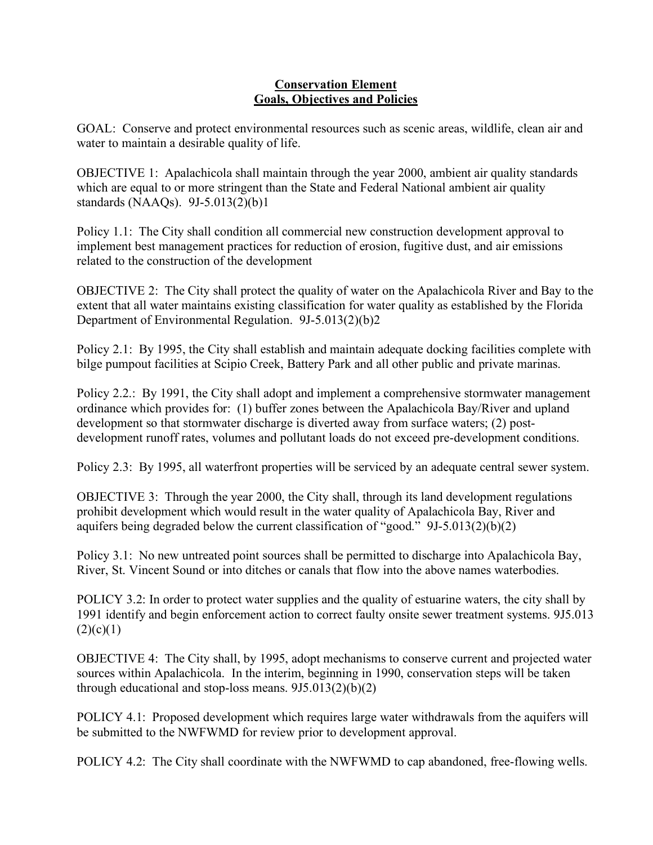#### **Conservation Element Goals, Objectives and Policies**

GOAL: Conserve and protect environmental resources such as scenic areas, wildlife, clean air and water to maintain a desirable quality of life.

OBJECTIVE 1: Apalachicola shall maintain through the year 2000, ambient air quality standards which are equal to or more stringent than the State and Federal National ambient air quality standards (NAAQs). 9J-5.013(2)(b)1

Policy 1.1: The City shall condition all commercial new construction development approval to implement best management practices for reduction of erosion, fugitive dust, and air emissions related to the construction of the development

OBJECTIVE 2: The City shall protect the quality of water on the Apalachicola River and Bay to the extent that all water maintains existing classification for water quality as established by the Florida Department of Environmental Regulation. 9J-5.013(2)(b)2

Policy 2.1: By 1995, the City shall establish and maintain adequate docking facilities complete with bilge pumpout facilities at Scipio Creek, Battery Park and all other public and private marinas.

Policy 2.2.: By 1991, the City shall adopt and implement a comprehensive stormwater management ordinance which provides for: (1) buffer zones between the Apalachicola Bay/River and upland development so that stormwater discharge is diverted away from surface waters; (2) postdevelopment runoff rates, volumes and pollutant loads do not exceed pre-development conditions.

Policy 2.3: By 1995, all waterfront properties will be serviced by an adequate central sewer system.

OBJECTIVE 3: Through the year 2000, the City shall, through its land development regulations prohibit development which would result in the water quality of Apalachicola Bay, River and aquifers being degraded below the current classification of "good." 9J-5.013(2)(b)(2)

Policy 3.1: No new untreated point sources shall be permitted to discharge into Apalachicola Bay, River, St. Vincent Sound or into ditches or canals that flow into the above names waterbodies.

POLICY 3.2: In order to protect water supplies and the quality of estuarine waters, the city shall by 1991 identify and begin enforcement action to correct faulty onsite sewer treatment systems. 9J5.013  $(2)(c)(1)$ 

OBJECTIVE 4: The City shall, by 1995, adopt mechanisms to conserve current and projected water sources within Apalachicola. In the interim, beginning in 1990, conservation steps will be taken through educational and stop-loss means.  $9J5.013(2)(b)(2)$ 

POLICY 4.1: Proposed development which requires large water withdrawals from the aquifers will be submitted to the NWFWMD for review prior to development approval.

POLICY 4.2: The City shall coordinate with the NWFWMD to cap abandoned, free-flowing wells.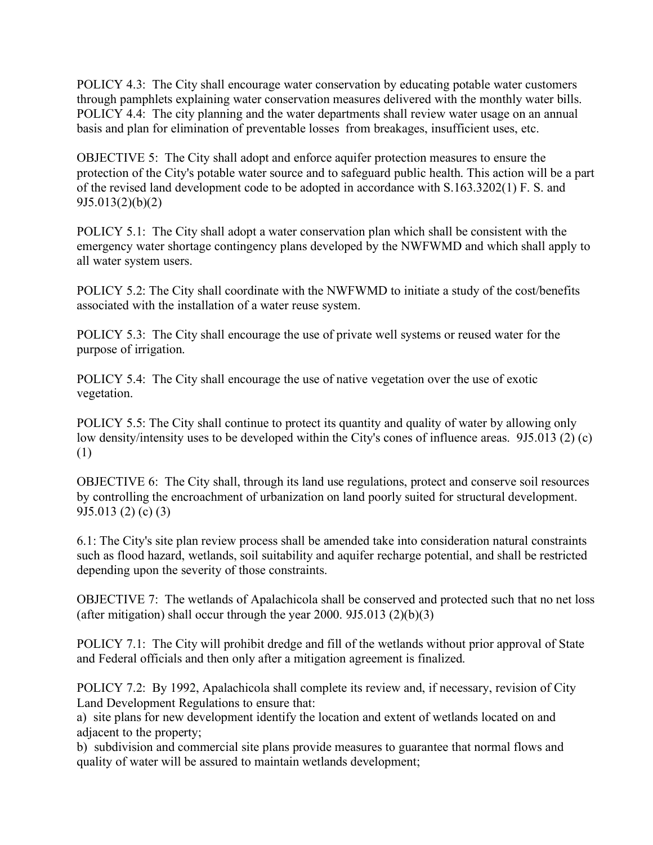POLICY 4.3: The City shall encourage water conservation by educating potable water customers through pamphlets explaining water conservation measures delivered with the monthly water bills. POLICY 4.4: The city planning and the water departments shall review water usage on an annual basis and plan for elimination of preventable losses from breakages, insufficient uses, etc.

OBJECTIVE 5: The City shall adopt and enforce aquifer protection measures to ensure the protection of the City's potable water source and to safeguard public health. This action will be a part of the revised land development code to be adopted in accordance with S.163.3202(1) F. S. and 9J5.013(2)(b)(2)

POLICY 5.1: The City shall adopt a water conservation plan which shall be consistent with the emergency water shortage contingency plans developed by the NWFWMD and which shall apply to all water system users.

POLICY 5.2: The City shall coordinate with the NWFWMD to initiate a study of the cost/benefits associated with the installation of a water reuse system.

POLICY 5.3: The City shall encourage the use of private well systems or reused water for the purpose of irrigation.

POLICY 5.4: The City shall encourage the use of native vegetation over the use of exotic vegetation.

POLICY 5.5: The City shall continue to protect its quantity and quality of water by allowing only low density/intensity uses to be developed within the City's cones of influence areas. 9J5.013 (2) (c) (1)

OBJECTIVE 6: The City shall, through its land use regulations, protect and conserve soil resources by controlling the encroachment of urbanization on land poorly suited for structural development. 9J5.013 (2) (c) (3)

6.1: The City's site plan review process shall be amended take into consideration natural constraints such as flood hazard, wetlands, soil suitability and aquifer recharge potential, and shall be restricted depending upon the severity of those constraints.

OBJECTIVE 7: The wetlands of Apalachicola shall be conserved and protected such that no net loss (after mitigation) shall occur through the year  $2000$ .  $9J5.013$   $(2)(b)(3)$ 

POLICY 7.1: The City will prohibit dredge and fill of the wetlands without prior approval of State and Federal officials and then only after a mitigation agreement is finalized.

POLICY 7.2: By 1992, Apalachicola shall complete its review and, if necessary, revision of City Land Development Regulations to ensure that:

a) site plans for new development identify the location and extent of wetlands located on and adjacent to the property;

b) subdivision and commercial site plans provide measures to guarantee that normal flows and quality of water will be assured to maintain wetlands development;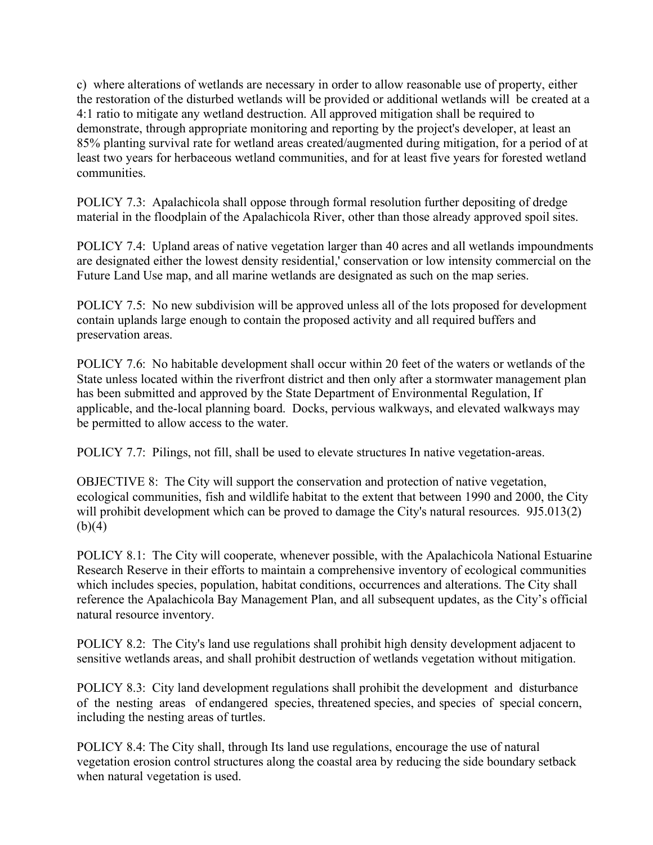c) where alterations of wetlands are necessary in order to allow reasonable use of property, either the restoration of the disturbed wetlands will be provided or additional wetlands will be created at a 4:1 ratio to mitigate any wetland destruction. All approved mitigation shall be required to demonstrate, through appropriate monitoring and reporting by the project's developer, at least an 85% planting survival rate for wetland areas created/augmented during mitigation, for a period of at least two years for herbaceous wetland communities, and for at least five years for forested wetland communities.

POLICY 7.3: Apalachicola shall oppose through formal resolution further depositing of dredge material in the floodplain of the Apalachicola River, other than those already approved spoil sites.

POLICY 7.4: Upland areas of native vegetation larger than 40 acres and all wetlands impoundments are designated either the lowest density residential,' conservation or low intensity commercial on the Future Land Use map, and all marine wetlands are designated as such on the map series.

POLICY 7.5: No new subdivision will be approved unless all of the lots proposed for development contain uplands large enough to contain the proposed activity and all required buffers and preservation areas.

POLICY 7.6: No habitable development shall occur within 20 feet of the waters or wetlands of the State unless located within the riverfront district and then only after a stormwater management plan has been submitted and approved by the State Department of Environmental Regulation, If applicable, and the-local planning board. Docks, pervious walkways, and elevated walkways may be permitted to allow access to the water.

POLICY 7.7: Pilings, not fill, shall be used to elevate structures In native vegetation-areas.

OBJECTIVE 8: The City will support the conservation and protection of native vegetation, ecological communities, fish and wildlife habitat to the extent that between 1990 and 2000, the City will prohibit development which can be proved to damage the City's natural resources. 9J5.013(2)  $(b)(4)$ 

POLICY 8.1: The City will cooperate, whenever possible, with the Apalachicola National Estuarine Research Reserve in their efforts to maintain a comprehensive inventory of ecological communities which includes species, population, habitat conditions, occurrences and alterations. The City shall reference the Apalachicola Bay Management Plan, and all subsequent updates, as the City's official natural resource inventory.

POLICY 8.2: The City's land use regulations shall prohibit high density development adjacent to sensitive wetlands areas, and shall prohibit destruction of wetlands vegetation without mitigation.

POLICY 8.3: City land development regulations shall prohibit the development and disturbance of the nesting areas of endangered species, threatened species, and species of special concern, including the nesting areas of turtles.

POLICY 8.4: The City shall, through Its land use regulations, encourage the use of natural vegetation erosion control structures along the coastal area by reducing the side boundary setback when natural vegetation is used.